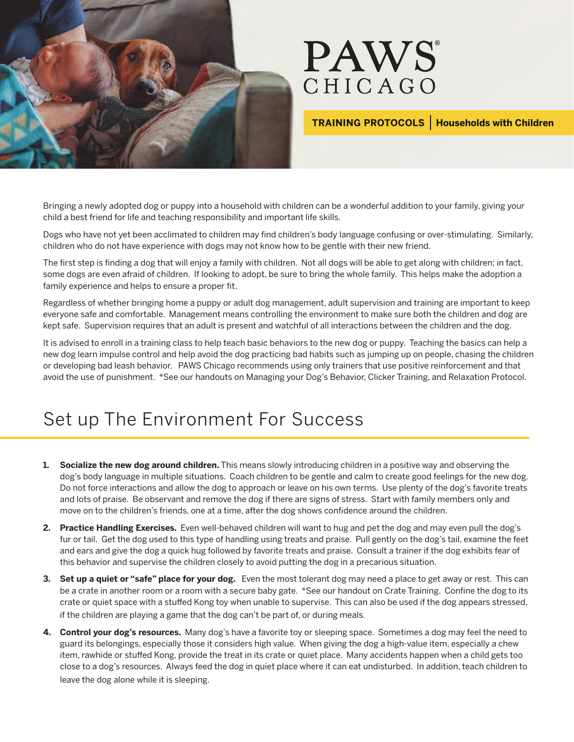

## **PAWS** CHICAGO

**TRAINING PROTOCOLS Households with Children**

Bringing a newly adopted dog or puppy into a household with children can be a wonderful addition to your family, giving your child a best friend for life and teaching responsibility and important life skills.

Dogs who have not yet been acclimated to children may find children's body language confusing or over-stimulating. Similarly, children who do not have experience with dogs may not know how to be gentle with their new friend.

The first step is finding a dog that will enjoy a family with children. Not all dogs will be able to get along with children; in fact, some dogs are even afraid of children. If looking to adopt, be sure to bring the whole family. This helps make the adoption a family experience and helps to ensure a proper fit.

Regardless of whether bringing home a puppy or adult dog management, adult supervision and training are important to keep everyone safe and comfortable. Management means controlling the environment to make sure both the children and dog are kept safe. Supervision requires that an adult is present and watchful of all interactions between the children and the dog.

It is advised to enroll in a training class to help teach basic behaviors to the new dog or puppy. Teaching the basics can help a new dog learn impulse control and help avoid the dog practicing bad habits such as jumping up on people, chasing the children or developing bad leash behavior. PAWS Chicago recommends using only trainers that use positive reinforcement and that avoid the use of punishment. \*See our handouts on Managing your Dog's Behavior, Clicker Training, and Relaxation Protocol.

## Set up The Environment For Success

- **1. Socialize the new dog around children.** This means slowly introducing children in a positive way and observing the dog's body language in multiple situations. Coach children to be gentle and calm to create good feelings for the new dog. Do not force interactions and allow the dog to approach or leave on his own terms. Use plenty of the dog's favorite treats and lots of praise. Be observant and remove the dog if there are signs of stress. Start with family members only and move on to the children's friends, one at a time, after the dog shows confidence around the children.
- **2. Practice Handling Exercises.** Even well-behaved children will want to hug and pet the dog and may even pull the dog's fur or tail. Get the dog used to this type of handling using treats and praise. Pull gently on the dog's tail, examine the feet and ears and give the dog a quick hug followed by favorite treats and praise. Consult a trainer if the dog exhibits fear of this behavior and supervise the children closely to avoid putting the dog in a precarious situation.
- **3. Set up a quiet or "safe" place for your dog.** Even the most tolerant dog may need a place to get away or rest. This can be a crate in another room or a room with a secure baby gate. \*See our handout on Crate Training. Confine the dog to its crate or quiet space with a stuffed Kong toy when unable to supervise. This can also be used if the dog appears stressed, if the children are playing a game that the dog can't be part of, or during meals.
- **4. Control your dog's resources.** Many dog's have a favorite toy or sleeping space. Sometimes a dog may feel the need to guard its belongings, especially those it considers high value. When giving the dog a high-value item, especially a chew item, rawhide or stuffed Kong, provide the treat in its crate or quiet place. Many accidents happen when a child gets too close to a dog's resources. Always feed the dog in quiet place where it can eat undisturbed. In addition, teach children to leave the dog alone while it is sleeping.